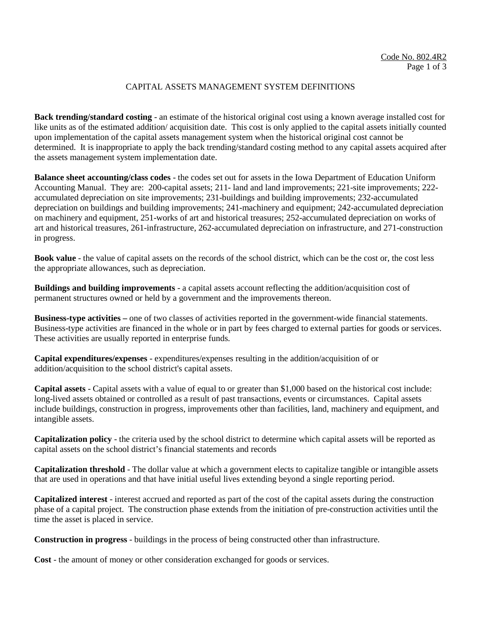## CAPITAL ASSETS MANAGEMENT SYSTEM DEFINITIONS

**Back trending/standard costing** - an estimate of the historical original cost using a known average installed cost for like units as of the estimated addition/ acquisition date. This cost is only applied to the capital assets initially counted upon implementation of the capital assets management system when the historical original cost cannot be determined. It is inappropriate to apply the back trending/standard costing method to any capital assets acquired after the assets management system implementation date.

**Balance sheet accounting/class codes** - the codes set out for assets in the Iowa Department of Education Uniform Accounting Manual. They are: 200-capital assets; 211- land and land improvements; 221-site improvements; 222 accumulated depreciation on site improvements; 231-buildings and building improvements; 232-accumulated depreciation on buildings and building improvements; 241-machinery and equipment; 242-accumulated depreciation on machinery and equipment, 251-works of art and historical treasures; 252-accumulated depreciation on works of art and historical treasures, 261-infrastructure, 262-accumulated depreciation on infrastructure, and 271-construction in progress.

**Book value** - the value of capital assets on the records of the school district, which can be the cost or, the cost less the appropriate allowances, such as depreciation.

**Buildings and building improvements** - a capital assets account reflecting the addition/acquisition cost of permanent structures owned or held by a government and the improvements thereon.

**Business-type activities –** one of two classes of activities reported in the government-wide financial statements. Business-type activities are financed in the whole or in part by fees charged to external parties for goods or services. These activities are usually reported in enterprise funds.

**Capital expenditures/expenses** - expenditures/expenses resulting in the addition/acquisition of or addition/acquisition to the school district's capital assets.

**Capital assets** - Capital assets with a value of equal to or greater than \$1,000 based on the historical cost include: long-lived assets obtained or controlled as a result of past transactions, events or circumstances. Capital assets include buildings, construction in progress, improvements other than facilities, land, machinery and equipment, and intangible assets.

**Capitalization policy** - the criteria used by the school district to determine which capital assets will be reported as capital assets on the school district's financial statements and records

**Capitalization threshold** - The dollar value at which a government elects to capitalize tangible or intangible assets that are used in operations and that have initial useful lives extending beyond a single reporting period.

**Capitalized interest** - interest accrued and reported as part of the cost of the capital assets during the construction phase of a capital project. The construction phase extends from the initiation of pre-construction activities until the time the asset is placed in service.

**Construction in progress** - buildings in the process of being constructed other than infrastructure.

**Cost** - the amount of money or other consideration exchanged for goods or services.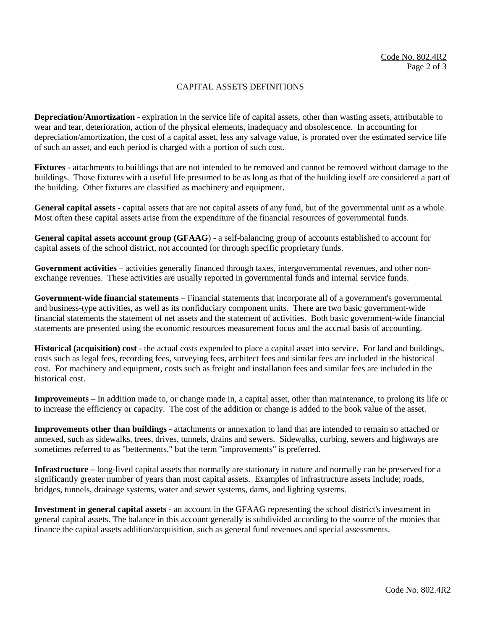## CAPITAL ASSETS DEFINITIONS

**Depreciation/Amortization** - expiration in the service life of capital assets, other than wasting assets, attributable to wear and tear, deterioration, action of the physical elements, inadequacy and obsolescence. In accounting for depreciation/amortization, the cost of a capital asset, less any salvage value, is prorated over the estimated service life of such an asset, and each period is charged with a portion of such cost.

**Fixtures** - attachments to buildings that are not intended to be removed and cannot be removed without damage to the buildings. Those fixtures with a useful life presumed to be as long as that of the building itself are considered a part of the building. Other fixtures are classified as machinery and equipment.

**General capital assets** - capital assets that are not capital assets of any fund, but of the governmental unit as a whole. Most often these capital assets arise from the expenditure of the financial resources of governmental funds.

**General capital assets account group (GFAAG**) - a self-balancing group of accounts established to account for capital assets of the school district, not accounted for through specific proprietary funds.

**Government activities** – activities generally financed through taxes, intergovernmental revenues, and other nonexchange revenues. These activities are usually reported in governmental funds and internal service funds.

**Government-wide financial statements** – Financial statements that incorporate all of a government's governmental and business-type activities, as well as its nonfiduciary component units. There are two basic government-wide financial statements the statement of net assets and the statement of activities. Both basic government-wide financial statements are presented using the economic resources measurement focus and the accrual basis of accounting.

**Historical (acquisition) cost** - the actual costs expended to place a capital asset into service. For land and buildings, costs such as legal fees, recording fees, surveying fees, architect fees and similar fees are included in the historical cost. For machinery and equipment, costs such as freight and installation fees and similar fees are included in the historical cost.

**Improvements** – In addition made to, or change made in, a capital asset, other than maintenance, to prolong its life or to increase the efficiency or capacity. The cost of the addition or change is added to the book value of the asset.

**Improvements other than buildings** - attachments or annexation to land that are intended to remain so attached or annexed, such as sidewalks, trees, drives, tunnels, drains and sewers. Sidewalks, curbing, sewers and highways are sometimes referred to as "betterments," but the term "improvements" is preferred.

**Infrastructure –** long-lived capital assets that normally are stationary in nature and normally can be preserved for a significantly greater number of years than most capital assets. Examples of infrastructure assets include; roads, bridges, tunnels, drainage systems, water and sewer systems, dams, and lighting systems.

**Investment in general capital assets** - an account in the GFAAG representing the school district's investment in general capital assets. The balance in this account generally is subdivided according to the source of the monies that finance the capital assets addition/acquisition, such as general fund revenues and special assessments.